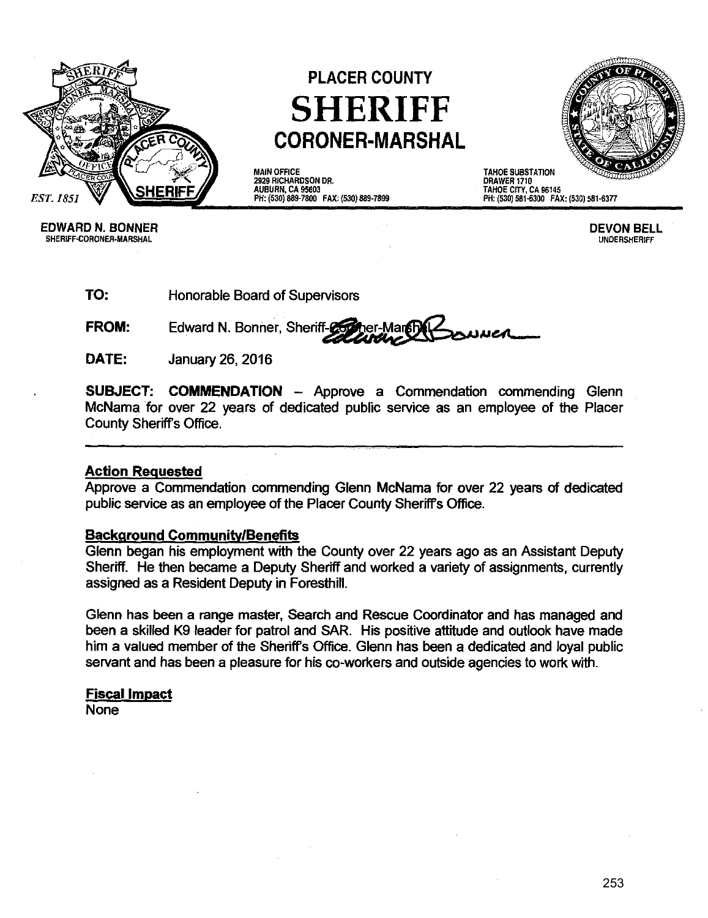

# **PLACER COUNTY SHERIFF CORONER-MARSHAL**

MAIN OFFICE 2929 RICHARDSON DR. AUBURN, CA 95603 PH: (530) 889·7800 FAX: (530) 889·7899



DRAWER 1710 TAHOE CITY, CA 96145 PH: (530) 581-6300 FAX: (530) 581-6377

EDWARD N. BONNER DEVON BELL SHERIFF-CORONER-MARSHAL

**TO:** Honorable Board of Supervisors

**FROM:** Edward N. Bonner, Sheriff-26 uuca

**DATE:** January 26,2016

**SUBJECT: COMMENDATION - Approve a Commendation commending Glenn** McNama for over 22 years of dedicated public service as an employee of the Placer County Sheriffs Office.

### **Action Requested**

Approve a Commendation commending Glenn McNama for over 22 years of dedicated public service as an employee of the Placer County Sheriffs Office.

### **Background Community/Benefits**

Glenn began his employment with the County over 22 years ago as an Assistant Deputy Sheriff. He then became a Deputy Sheriff and worked a variety of assignments, currently assigned as a Resident Deputy in Foresthill.

Glenn has been a range master, Search and Rescue Coordinator and has managed and been a skilled K9 leader for patrol and SAR. His positive attitude and outlook have made him a valued member of the Sheriffs Office. Glenn has been a dedicated and loyal public servant and has been a pleasure for his co-workers and outside agencies to work with.

#### **Fiscal Impact**

None